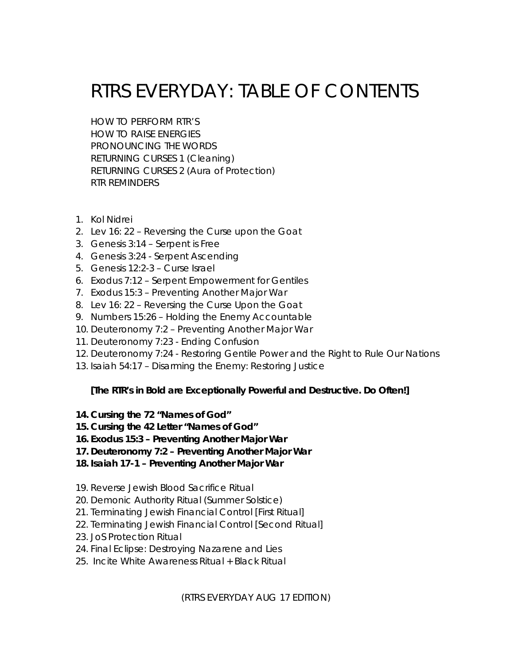# RTRS EVERYDAY: TABLE OF CONTENTS

HOW TO PERFORM RTR'S HOW TO RAISE ENERGIES PRONOUNCING THE WORDS RETURNING CURSES 1 (Cleaning) RETURNING CURSES 2 (Aura of Protection) RTR REMINDERS

- 1. Kol Nidrei
- 2. Lev 16: 22 Reversing the Curse upon the Goat
- 3. Genesis 3:14 Serpent is Free
- 4. Genesis 3:24 Serpent Ascending
- 5. Genesis 12:2-3 Curse Israel
- 6. Exodus 7:12 Serpent Empowerment for Gentiles
- 7. Exodus 15:3 Preventing Another Major War
- 8. Lev 16: 22 Reversing the Curse Upon the Goat
- 9. Numbers 15:26 Holding the Enemy Accountable
- 10. Deuteronomy 7:2 Preventing Another Major War
- 11. Deuteronomy 7:23 Ending Confusion
- 12. Deuteronomy 7:24 Restoring Gentile Power and the Right to Rule Our Nations
- 13. Isaiah 54:17 Disarming the Enemy: Restoring Justice

#### **[The RTR's in Bold are Exceptionally Powerful and Destructive. Do Often!]**

- **14. Cursing the 72 "Names of God"**
- **15. Cursing the 42 Letter "Names of God"**
- **16. Exodus 15:3 – Preventing Another Major War**
- **17. Deuteronomy 7:2 – Preventing Another Major War**
- **18. Isaiah 17-1 – Preventing Another Major War**
- 19. Reverse Jewish Blood Sacrifice Ritual
- 20. Demonic Authority Ritual *(Summer Solstice)*
- 21. Terminating Jewish Financial Control [First Ritual]
- 22. Terminating Jewish Financial Control [Second Ritual]
- 23. JoS Protection Ritual
- 24. Final Eclipse: Destroying Nazarene and Lies
- 25. Incite White Awareness Ritual + Black Ritual

*(RTRS EVERYDAY AUG 17 EDITION)*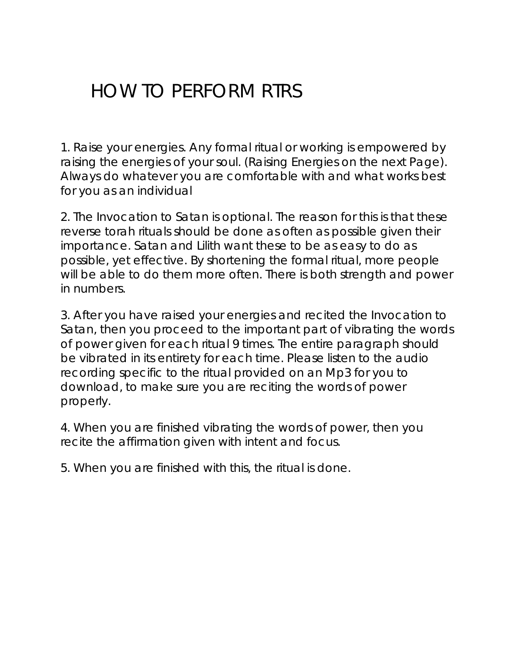## HOW TO PERFORM RTRS

1. Raise your energies. Any formal ritual or working is empowered by raising the energies of your soul. (Raising Energies on the next Page). Always do whatever you are comfortable with and what works best for you as an individual

2. The Invocation to Satan is optional. The reason for this is that these reverse torah rituals should be done as often as possible given their importance. Satan and Lilith want these to be as easy to do as possible, yet effective. By shortening the formal ritual, more people will be able to do them more often. There is both strength and power in numbers.

3. After you have raised your energies and recited the Invocation to Satan, then you proceed to the important part of vibrating the words of power given for each ritual 9 times. The entire paragraph should be vibrated in its entirety for each time. Please listen to the audio recording specific to the ritual provided on an Mp3 for you to download, to make sure you are reciting the words of power properly.

4. When you are finished vibrating the words of power, then you recite the affirmation given *with intent and focus.*

5. When you are finished with this, the ritual is done.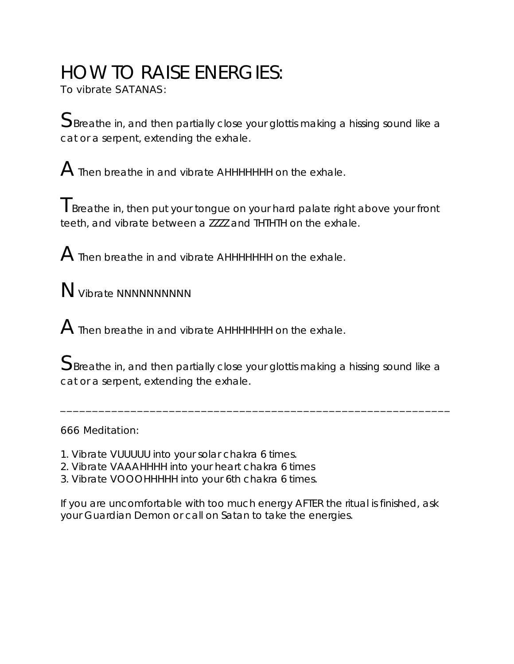# HOW TO RAISE ENERGIES:

To vibrate SATANAS:

 $S$  Breathe in, and then partially close your glottis making a hissing sound like a cat or a serpent, extending the exhale.

 $\bigwedge$  Then breathe in and vibrate AHHHHHHH on the exhale.

T Breathe in, then put your tongue on your hard palate right above your front teeth, and vibrate between a ZZZZ and THTHTH on the exhale.

 $\bigwedge$  Then breathe in and vibrate AHHHHHHH on the exhale.

N vibrate NNNNNNNNNN

 $\bigwedge$  Then breathe in and vibrate AHHHHHHH on the exhale.

 $\mathsf S$  Breathe in, and then partially close your glottis making a hissing sound like a cat or a serpent, extending the exhale.

\_\_\_\_\_\_\_\_\_\_\_\_\_\_\_\_\_\_\_\_\_\_\_\_\_\_\_\_\_\_\_\_\_\_\_\_\_\_\_\_\_\_\_\_\_\_\_\_\_\_\_\_\_\_\_\_\_\_\_\_\_

666 Meditation:

- 1. Vibrate VUUUUU into your solar chakra 6 times.
- 2. Vibrate VAAAHHHH into your heart chakra 6 times
- 3. Vibrate VOOOHHHHH into your 6th chakra 6 times.

*If you are uncomfortable with too much energy AFTER the ritual is finished, ask your Guardian Demon or call on Satan to take the energies.*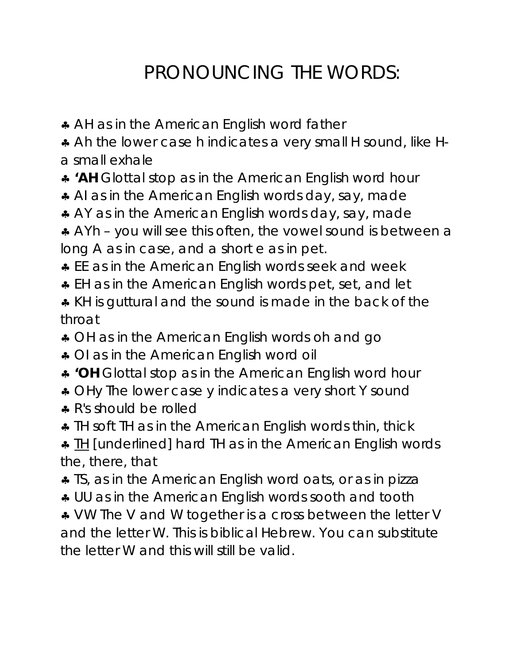# PRONOUNCING THE WORDS:

- ♣ AH as in the American English word father
- ♣ Ah the lower case h indicates a very small H sound, like Ha small exhale
- ♣ **'AH** Glottal stop as in the American English word hour
- ♣ AI as in the American English words day, say, made
- ♣ AY as in the American English words day, say, made
- ♣ AYh you will see this often, the vowel sound is between a long A as in case, and a short e as in pet.
- ♣ EE as in the American English words seek and week
- ♣ EH as in the American English words pet, set, and let
- ♣ KH is guttural and the sound is made in the back of the throat
- ♣ OH as in the American English words oh and go
- ♣ OI as in the American English word oil
- ♣ **'OH** Glottal stop as in the American English word hour
- ♣ OHy The lower case y indicates a very short Y sound
- ♣ R's should be rolled
- ♣ TH soft TH as in the American English words thin, thick
- ♣ TH [underlined] hard TH as in the American English words the, there, that
- ♣ TS, as in the American English word oats, or as in pizza
- ♣ UU as in the American English words sooth and tooth
- ♣ VW The V and W together is a cross between the letter V and the letter W. This is biblical Hebrew. You can substitute the letter W and this will still be valid.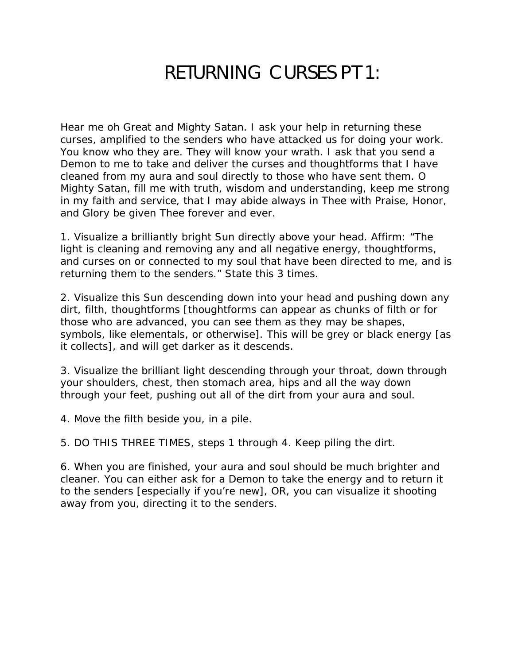## RETURNING CURSES PT 1:

*Hear me oh Great and Mighty Satan. I ask your help in returning these curses, amplified to the senders who have attacked us for doing your work. You know who they are. They will know your wrath. I ask that you send a Demon to me to take and deliver the curses and thoughtforms that I have cleaned from my aura and soul directly to those who have sent them. O Mighty Satan, fill me with truth, wisdom and understanding, keep me strong in my faith and service, that I may abide always in Thee with Praise, Honor, and Glory be given Thee forever and ever.*

1. Visualize a brilliantly bright Sun directly above your head. Affirm: "The light is cleaning and removing any and all negative energy, thoughtforms, and curses on or connected to my soul that have been directed to me, and is returning them to the senders." State this 3 times.

2. Visualize this Sun descending down into your head and pushing down any dirt, filth, thoughtforms [thoughtforms can appear as chunks of filth or for those who are advanced, you can see them as they may be shapes, symbols, like elementals, or otherwise]. This will be grey or black energy [as it collects], and will get darker as it descends.

3. Visualize the brilliant light descending through your throat, down through your shoulders, chest, then stomach area, hips and all the way down through your feet, pushing out all of the dirt from your aura and soul.

4. Move the filth beside you, in a pile.

5. DO THIS THREE TIMES, steps 1 through 4. Keep piling the dirt.

6. When you are finished, your aura and soul should be much brighter and cleaner. You can either ask for a Demon to take the energy and to return it to the senders [especially if you're new], OR, you can visualize it shooting away from you, directing it to the senders.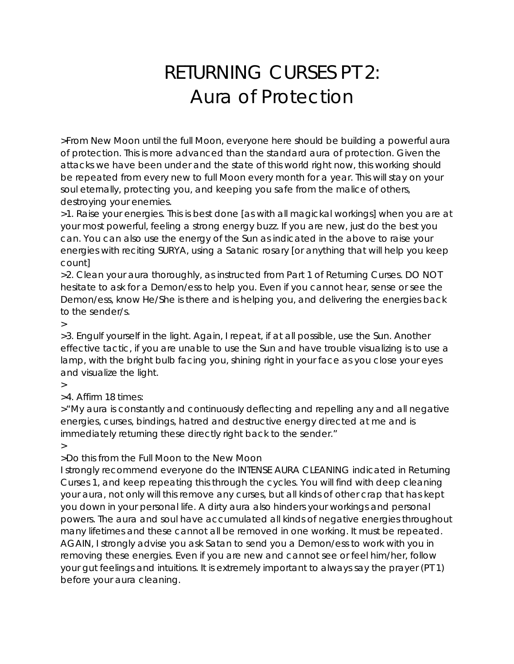# RETURNING CURSES PT 2: Aura of Protection

>From New Moon until the full Moon, everyone here should be building a powerful aura of protection. This is more advanced than the standard aura of protection. Given the attacks we have been under and the state of this world right now, this working should be repeated from every new to full Moon every month for a year. This will stay on your soul eternally, protecting you, and keeping you safe from the malice of others, destroying your enemies.

>1. Raise your energies. This is best done [as with all magickal workings] when you are at your most powerful, feeling a strong energy buzz. If you are new, just do the best you can. You can also use the energy of the Sun as indicated in the above to raise your energies with reciting SURYA, using a Satanic rosary [or anything that will help you keep count]

>2. Clean your aura thoroughly, as instructed from Part 1 of Returning Curses. DO NOT hesitate to ask for a Demon/ess to help you. Even if you cannot hear, sense or see the Demon/ess, know He/She is there and is helping you, and delivering the energies back to the sender/s.

 $\rightarrow$ 

>3. Engulf yourself in the light. Again, I repeat, if at all possible, use the Sun. Another effective tactic, if you are unable to use the Sun and have trouble visualizing is to use a lamp, with the bright bulb facing you, shining right in your face as you close your eyes and visualize the light.

 $\rightarrow$ 

>4. Affirm 18 times:

>"My aura is constantly and continuously deflecting and repelling any and all negative energies, curses, bindings, hatred and destructive energy directed at me and is immediately returning these directly right back to the sender."

 $\rightarrow$ 

>Do this from the Full Moon to the New Moon

I strongly recommend everyone do the INTENSE AURA CLEANING indicated in Returning Curses 1, and keep repeating this through the cycles. You will find with deep cleaning your aura, not only will this remove any curses, but all kinds of other crap that has kept you down in your personal life. A dirty aura also hinders your workings and personal powers. The aura and soul have accumulated all kinds of negative energies throughout many lifetimes and these cannot all be removed in one working. It must be repeated. AGAIN, I strongly advise you ask Satan to send you a Demon/ess to work with you in removing these energies. Even if you are new and cannot see or feel him/her, follow your gut feelings and intuitions. It is extremely important to always say the prayer (PT 1) before your aura cleaning.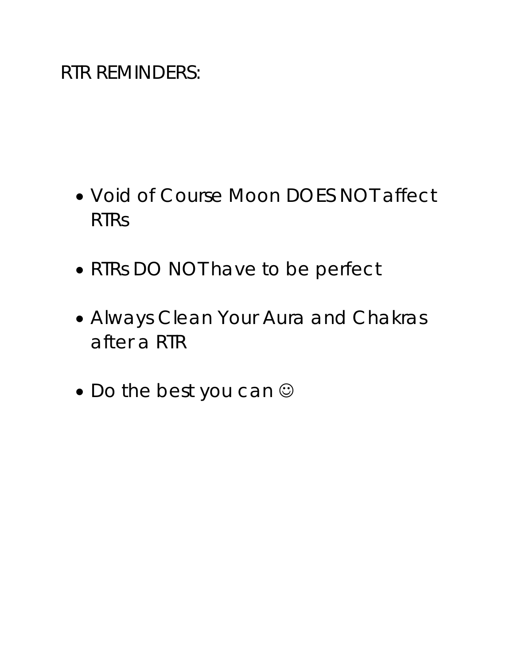## RTR REMINDERS:

- Void of Course Moon DOES NOT affect RTRs
- RTRs DO NOT have to be perfect
- Always Clean Your Aura and Chakras after a RTR
- Do the best you can  $\odot$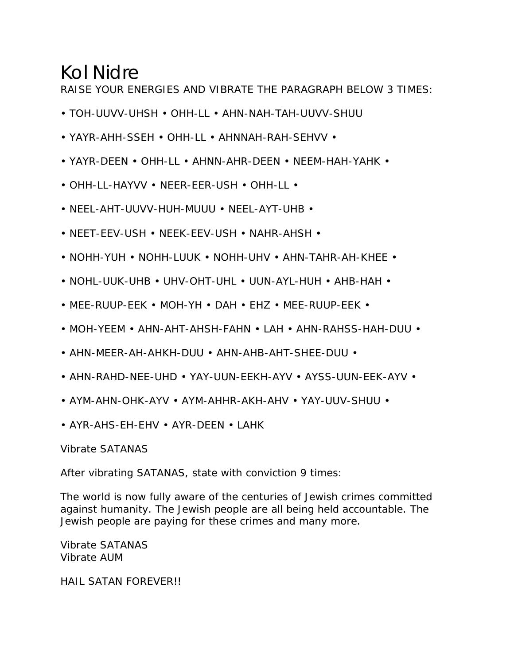#### Kol Nidre

RAISE YOUR ENERGIES AND VIBRATE THE PARAGRAPH BELOW 3 TIMES:

- TOH-UUVV-UHSH OHH-LL AHN-NAH-TAH-UUVV-SHUU
- YAYR-AHH-SSEH OHH-LL AHNNAH-RAH-SEHVV •
- YAYR-DEEN OHH-LL AHNN-AHR-DEEN NEEM-HAH-YAHK •
- OHH-LL-HAYVV NEER-EER-USH OHH-LL •
- NEEL-AHT-UUVV-HUH-MUUU NEEL-AYT-UHB •
- NEET-EEV-USH NEEK-EEV-USH NAHR-AHSH •
- NOHH-YUH NOHH-LUUK NOHH-UHV AHN-TAHR-AH-KHEE •
- NOHL-UUK-UHB UHV-OHT-UHL UUN-AYL-HUH AHB-HAH •
- MEE-RUUP-EEK MOH-YH DAH EHZ MEE-RUUP-EEK •
- MOH-YEEM AHN-AHT-AHSH-FAHN LAH AHN-RAHSS-HAH-DUU •
- AHN-MEER-AH-AHKH-DUU AHN-AHB-AHT-SHEE-DUU •
- AHN-RAHD-NEE-UHD YAY-UUN-EEKH-AYV AYSS-UUN-EEK-AYV •
- AYM-AHN-OHK-AYV AYM-AHHR-AKH-AHV YAY-UUV-SHUU •
- AYR-AHS-EH-EHV AYR-DEEN LAHK

Vibrate SATANAS

After vibrating SATANAS, state with conviction 9 times:

The world is now fully aware of the centuries of Jewish crimes committed against humanity. The Jewish people are all being held accountable. The Jewish people are paying for these crimes and many more.

Vibrate SATANAS Vibrate AUM

HAIL SATAN FOREVER!!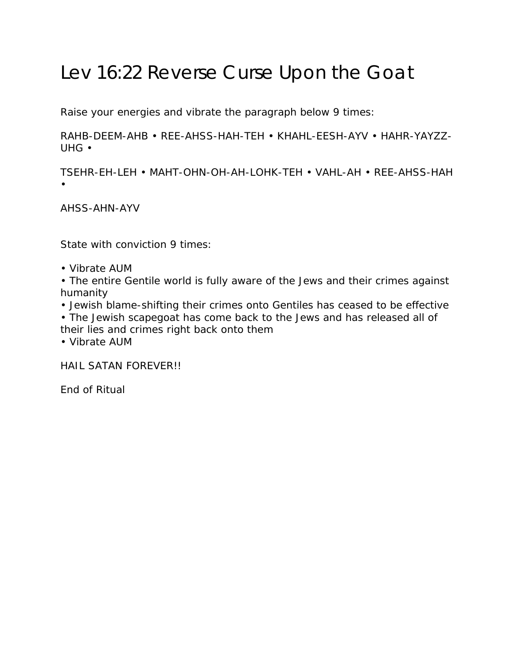## Lev 16:22 Reverse Curse Upon the Goat

Raise your energies and vibrate the paragraph below 9 times:

RAHB-DEEM-AHB • REE-AHSS-HAH-TEH • KHAHL-EESH-AYV • HAHR-YAYZZ-UHG •

TSEHR-EH-LEH • MAHT-OHN-OH-AH-LOHK-TEH • VAHL-AH • REE-AHSS-HAH •

AHSS-AHN-AYV

State with conviction 9 times:

• Vibrate AUM

• The entire Gentile world is fully aware of the Jews and their crimes against humanity

• Jewish blame-shifting their crimes onto Gentiles has ceased to be effective

• The Jewish scapegoat has come back to the Jews and has released all of

their lies and crimes right back onto them

• Vibrate AUM

HAIL SATAN FOREVER!!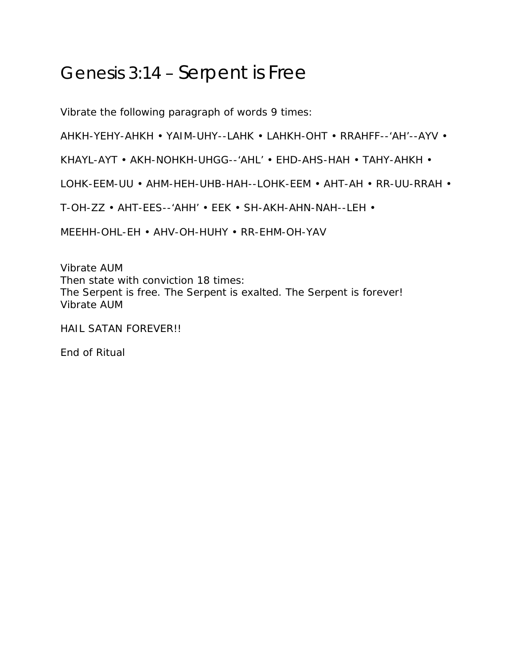#### Genesis 3:14 – Serpent is Free

Vibrate the following paragraph of words 9 times:

AHKH-YEHY-AHKH • YAIM-UHY--LAHK • LAHKH-OHT • RRAHFF--'AH'--AYV •

KHAYL-AYT • AKH-NOHKH-UHGG--'AHL' • EHD-AHS-HAH • TAHY-AHKH •

LOHK-EEM-UU • AHM-HEH-UHB-HAH--LOHK-EEM • AHT-AH • RR-UU-RRAH •

T-OH-ZZ • AHT-EES--'AHH' • EEK • SH-AKH-AHN-NAH--LEH •

MEEHH-OHL-EH • AHV-OH-HUHY • RR-EHM-OH-YAV

Vibrate AUM Then state with conviction 18 times: The Serpent is free. The Serpent is exalted. The Serpent is forever! Vibrate AUM

HAIL SATAN FOREVER!!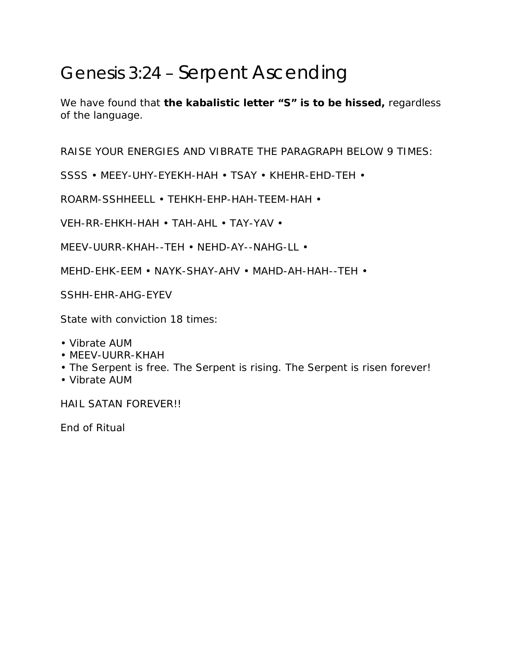#### Genesis 3:24 – Serpent Ascending

We have found that **the kabalistic letter "S" is to be hissed,** regardless of the language.

RAISE YOUR ENERGIES AND VIBRATE THE PARAGRAPH BELOW 9 TIMES:

SSSS • MEEY-UHY-EYEKH-HAH • TSAY • KHEHR-EHD-TEH •

ROARM-SSHHEELL • TEHKH-EHP-HAH-TEEM-HAH •

VEH-RR-EHKH-HAH • TAH-AHL • TAY-YAV •

MEEV-UURR-KHAH--TEH • NEHD-AY--NAHG-LL •

MEHD-EHK-EEM • NAYK-SHAY-AHV • MAHD-AH-HAH--TEH •

SSHH-EHR-AHG-EYEV

State with conviction 18 times:

- Vibrate AUM
- MEEV-UURR-KHAH
- The Serpent is free. The Serpent is rising. The Serpent is risen forever!
- Vibrate AUM

HAIL SATAN FOREVER!!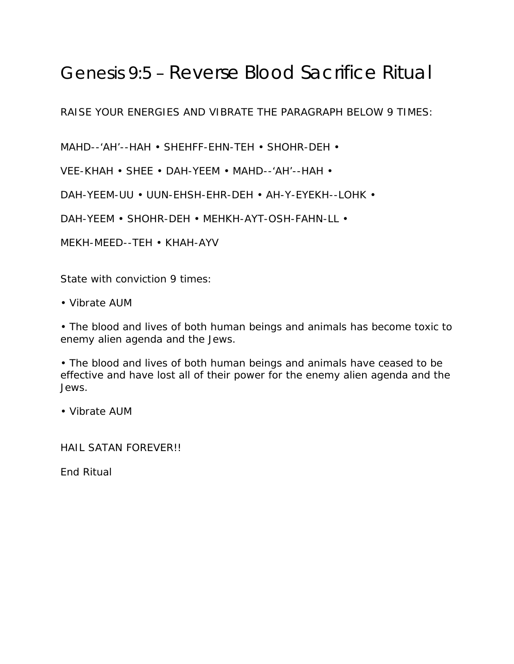#### Genesis 9:5 – Reverse Blood Sacrifice Ritual

RAISE YOUR ENERGIES AND VIBRATE THE PARAGRAPH BELOW 9 TIMES:

MAHD--'AH'--HAH • SHEHFF-EHN-TEH • SHOHR-DEH •

VEE-KHAH • SHEE • DAH-YEEM • MAHD--'AH'--HAH •

DAH-YEEM-UU • UUN-EHSH-EHR-DEH • AH-Y-EYEKH--LOHK •

DAH-YEEM • SHOHR-DEH • MEHKH-AYT-OSH-FAHN-LL •

MEKH-MEED--TEH • KHAH-AYV

State with conviction 9 times:

• Vibrate AUM

• The blood and lives of both human beings and animals has become toxic to enemy alien agenda and the Jews.

• The blood and lives of both human beings and animals have ceased to be effective and have lost all of their power for the enemy alien agenda and the Jews.

• Vibrate AUM

HAIL SATAN FOREVER!!

End Ritual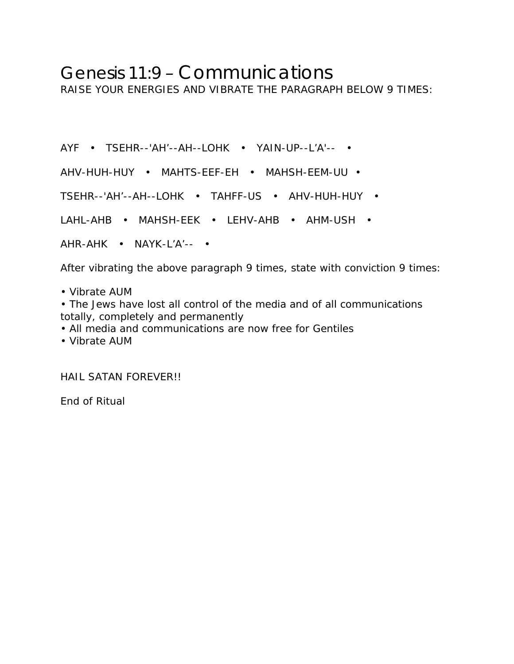#### Genesis 11:9 – Communications RAISE YOUR ENERGIES AND VIBRATE THE PARAGRAPH BELOW 9 TIMES:

AYF • TSEHR--'AH'--AH--LOHK • YAIN-UP--L'A'-- •

AHV-HUH-HUY • MAHTS-EEF-EH • MAHSH-EEM-UU •

TSEHR--'AH'--AH--LOHK • TAHFF-US • AHV-HUH-HUY •

LAHL-AHB • MAHSH-EEK • LEHV-AHB • AHM-USH •

AHR-AHK • NAYK-L'A'-- •

After vibrating the above paragraph 9 times, state with conviction 9 times:

• Vibrate AUM

• The Jews have lost all control of the media and of all communications totally, completely and permanently

- All media and communications are now free for Gentiles
- Vibrate AUM

HAIL SATAN FOREVER!!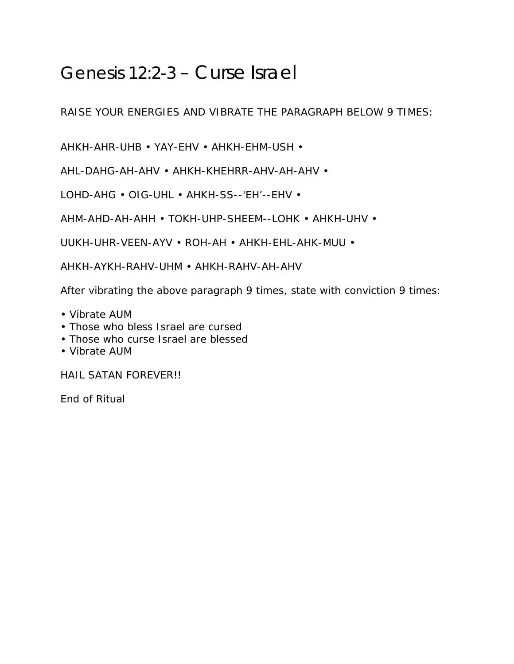#### Genesis 12:2-3 – Curse Israel

#### RAISE YOUR ENERGIES AND VIBRATE THE PARAGRAPH BELOW 9 TIMES:

AHKH-AHR-UHB • YAY-EHV • AHKH-EHM-USH •

AHL-DAHG-AH-AHV • AHKH-KHEHRR-AHV-AH-AHV •

LOHD-AHG • OIG-UHL • AHKH-SS--'EH'--EHV •

AHM-AHD-AH-AHH • TOKH-UHP-SHEEM--LOHK • AHKH-UHV •

UUKH-UHR-VEEN-AYV • ROH-AH • AHKH-EHL-AHK-MUU •

AHKH-AYKH-RAHV-UHM • AHKH-RAHV-AH-AHV

After vibrating the above paragraph 9 times, state with conviction 9 times:

- Vibrate AUM
- Those who bless Israel are cursed
- Those who curse Israel are blessed
- Vibrate AUM

HAIL SATAN FOREVER!!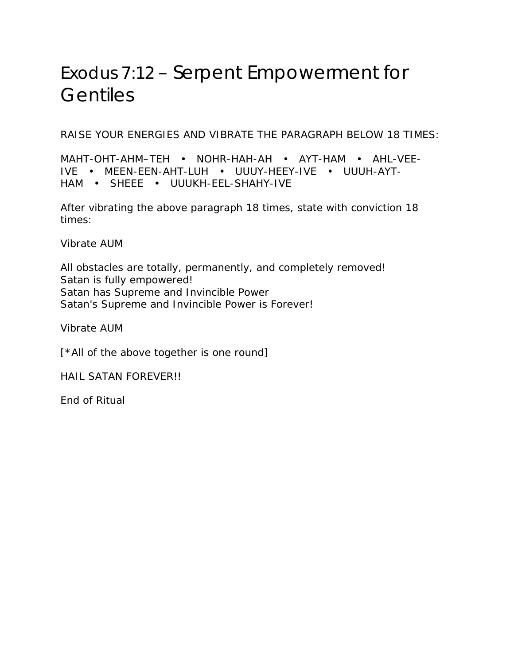### Exodus 7:12 – Serpent Empowerment for **Gentiles**

RAISE YOUR ENERGIES AND VIBRATE THE PARAGRAPH BELOW 18 TIMES:

MAHT-OHT-AHM–TEH • NOHR-HAH-AH • AYT-HAM • AHL-VEE-IVE • MEEN-EEN-AHT-LUH • UUUY-HEEY-IVE • UUUH-AYT-HAM • SHEEE • UUUKH-EEL-SHAHY-IVE

After vibrating the above paragraph 18 times, state with conviction 18 times:

Vibrate AUM

All obstacles are totally, permanently, and completely removed! Satan is fully empowered! Satan has Supreme and Invincible Power Satan's Supreme and Invincible Power is Forever!

Vibrate AUM

[\*All of the above together is one round]

HAIL SATAN FOREVER!!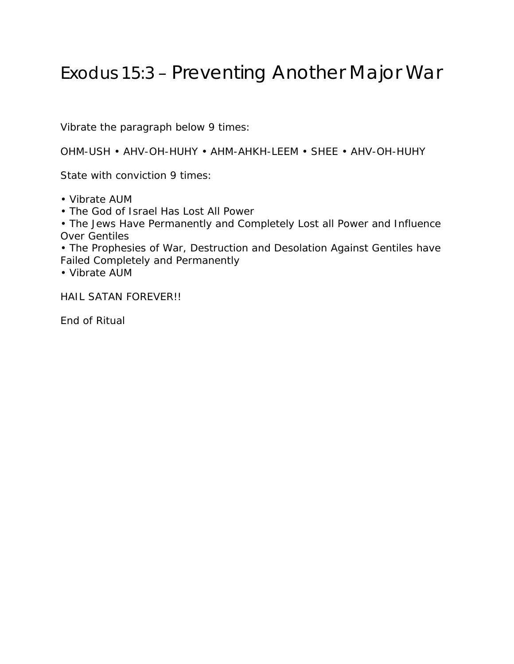#### Exodus 15:3 – Preventing Another Major War

Vibrate the paragraph below 9 times:

OHM-USH • AHV-OH-HUHY • AHM-AHKH-LEEM • SHEE • AHV-OH-HUHY

State with conviction 9 times:

- Vibrate AUM
- The God of Israel Has Lost All Power
- The Jews Have Permanently and Completely Lost all Power and Influence Over Gentiles

• The Prophesies of War, Destruction and Desolation Against Gentiles have Failed Completely and Permanently

• Vibrate AUM

HAIL SATAN FORFVER!!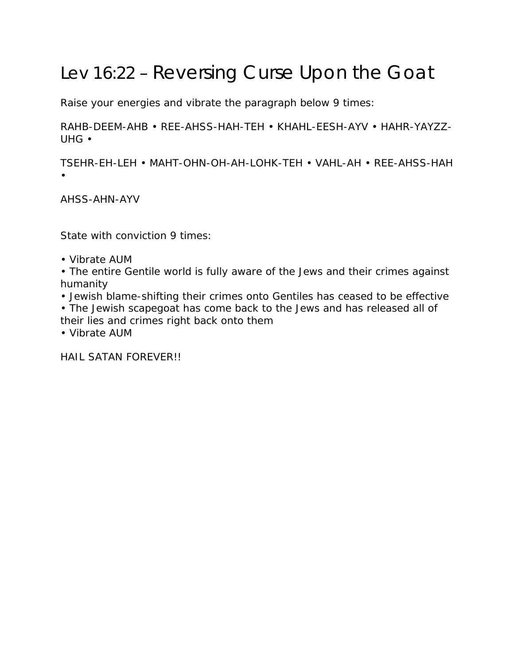## Lev 16:22 – Reversing Curse Upon the Goat

Raise your energies and vibrate the paragraph below 9 times:

RAHB-DEEM-AHB • REE-AHSS-HAH-TEH • KHAHL-EESH-AYV • HAHR-YAYZZ-UHG •

TSEHR-EH-LEH • MAHT-OHN-OH-AH-LOHK-TEH • VAHL-AH • REE-AHSS-HAH •

AHSS-AHN-AYV

State with conviction 9 times:

• Vibrate AUM

• The entire Gentile world is fully aware of the Jews and their crimes against humanity

• Jewish blame-shifting their crimes onto Gentiles has ceased to be effective

• The Jewish scapegoat has come back to the Jews and has released all of their lies and crimes right back onto them

• Vibrate AUM

HAIL SATAN FOREVER!!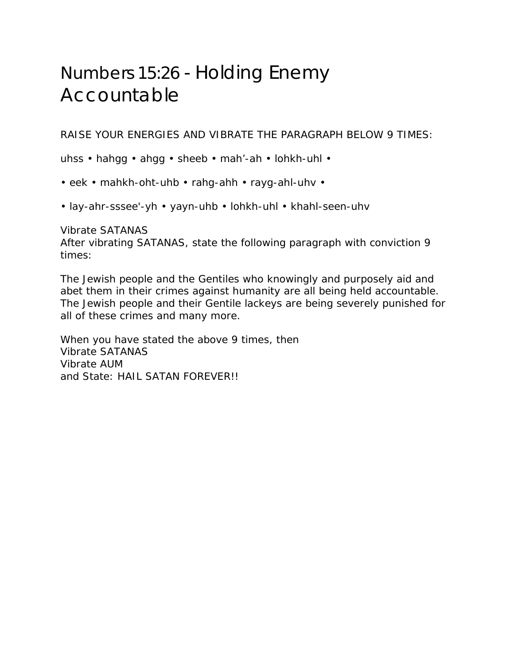### Numbers 15:26 - Holding Enemy Accountable

RAISE YOUR ENERGIES AND VIBRATE THE PARAGRAPH BELOW 9 TIMES:

uhss • hahgg • ahgg • sheeb • mah'-ah • lohkh-uhl •

- eek mahkh-oht-uhb rahg-ahh rayg-ahl-uhv •
- lay-ahr-sssee'-yh yayn-uhb lohkh-uhl khahl-seen-uhv

Vibrate SATANAS

After vibrating SATANAS, state the following paragraph with conviction 9 times:

The Jewish people and the Gentiles who knowingly and purposely aid and abet them in their crimes against humanity are all being held accountable. The Jewish people and their Gentile lackeys are being severely punished for all of these crimes and many more.

When you have stated the above 9 times, then Vibrate SATANAS Vibrate AUM and State: HAIL SATAN FOREVER!!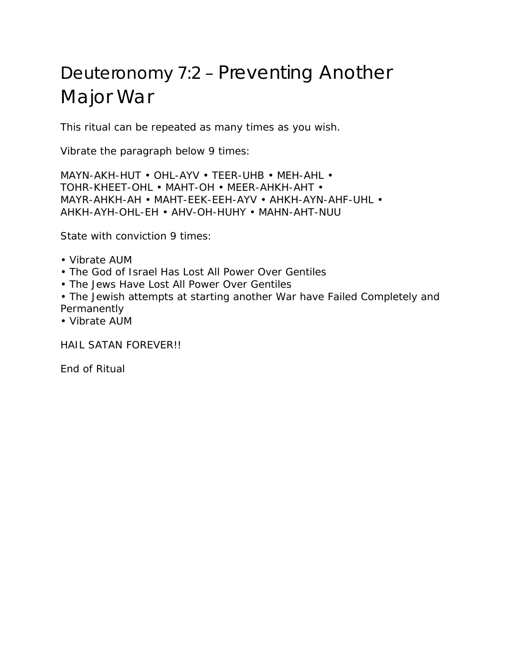## Deuteronomy 7:2 – Preventing Another Major War

This ritual can be repeated as many times as you wish.

Vibrate the paragraph below 9 times:

MAYN-AKH-HUT • OHL-AYV • TEER-UHB • MEH-AHL • TOHR-KHEET-OHL • MAHT-OH • MEER-AHKH-AHT • MAYR-AHKH-AH • MAHT-EEK-EEH-AYV • AHKH-AYN-AHF-UHL • AHKH-AYH-OHL-EH • AHV-OH-HUHY • MAHN-AHT-NUU

State with conviction 9 times:

- Vibrate AUM
- The God of Israel Has Lost All Power Over Gentiles
- The Jews Have Lost All Power Over Gentiles
- The Jewish attempts at starting another War have Failed Completely and **Permanently**
- Vibrate AUM

HAIL SATAN FOREVER!!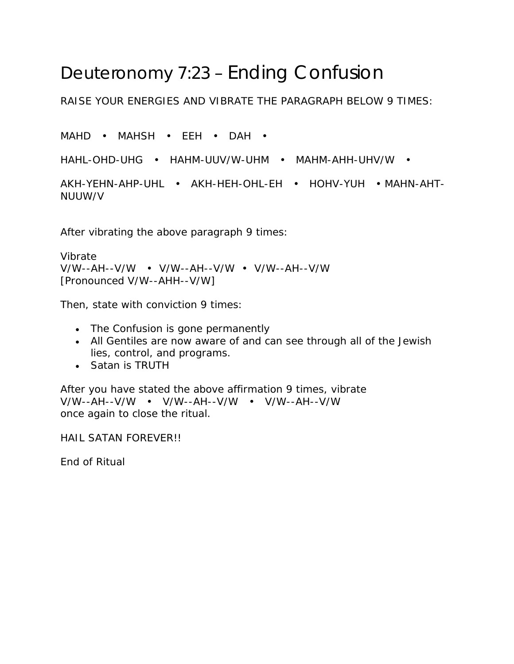#### Deuteronomy 7:23 – Ending Confusion

RAISE YOUR ENERGIES AND VIBRATE THE PARAGRAPH BELOW 9 TIMES:

MAHD • MAHSH • EEH • DAH • HAHL-OHD-UHG • HAHM-UUV/W-UHM • MAHM-AHH-UHV/W • AKH-YEHN-AHP-UHL • AKH-HEH-OHL-EH • HOHV-YUH • MAHN-AHT-NUUW/V

After vibrating the above paragraph 9 times:

Vibrate V/W--AH--V/W • V/W--AH--V/W • V/W--AH--V/W [Pronounced V/W--AHH--V/W]

Then, state with conviction 9 times:

- The Confusion is gone permanently
- All Gentiles are now aware of and can see through all of the Jewish lies, control, and programs.
- Satan is TRUTH

After you have stated the above affirmation 9 times, vibrate V/W--AH--V/W • V/W--AH--V/W • V/W--AH--V/W once again to close the ritual.

HAIL SATAN FOREVER!!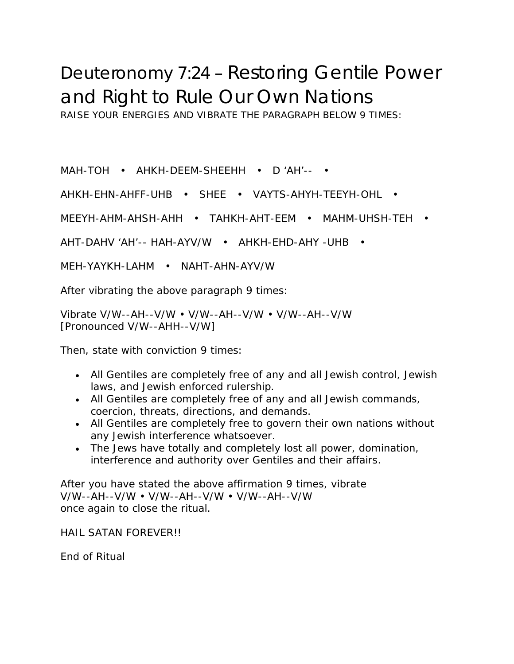#### Deuteronomy 7:24 – Restoring Gentile Power and Right to Rule Our Own Nations RAISE YOUR ENERGIES AND VIBRATE THE PARAGRAPH BELOW 9 TIMES:

MAH-TOH • AHKH-DEEM-SHEEHH • D 'AH'-- •

AHKH-EHN-AHFF-UHB • SHEE • VAYTS-AHYH-TEEYH-OHL •

MEEYH-AHM-AHSH-AHH • TAHKH-AHT-EEM • MAHM-UHSH-TEH •

AHT-DAHV 'AH'-- HAH-AYV/W • AHKH-EHD-AHY -UHB •

MEH-YAYKH-LAHM • NAHT-AHN-AYV/W

After vibrating the above paragraph 9 times:

Vibrate V/W--AH--V/W • V/W--AH--V/W • V/W--AH--V/W [Pronounced V/W--AHH--V/W]

Then, state with conviction 9 times:

- All Gentiles are completely free of any and all Jewish control, Jewish laws, and Jewish enforced rulership.
- All Gentiles are completely free of any and all Jewish commands, coercion, threats, directions, and demands.
- All Gentiles are completely free to govern their own nations without any Jewish interference whatsoever.
- The Jews have totally and completely lost all power, domination, interference and authority over Gentiles and their affairs.

After you have stated the above affirmation 9 times, vibrate V/W--AH--V/W • V/W--AH--V/W • V/W--AH--V/W once again to close the ritual.

HAIL SATAN FOREVER!!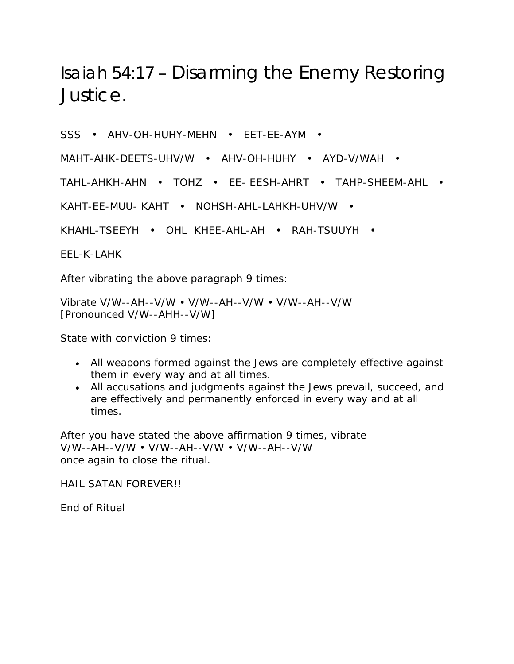Isaiah 54:17 – Disarming the Enemy Restoring Justice.

SSS • AHV-OH-HUHY-MEHN • EET-EE-AYM • MAHT-AHK-DEETS-UHV/W • AHV-OH-HUHY • AYD-V/WAH • TAHL-AHKH-AHN • TOHZ • EE- EESH-AHRT • TAHP-SHEEM-AHL • KAHT-EE-MUU- KAHT • NOHSH-AHL-LAHKH-UHV/W • KHAHL-TSEEYH • OHL KHEE-AHL-AH • RAH-TSUUYH • EEL-K-LAHK

After vibrating the above paragraph 9 times:

Vibrate V/W--AH--V/W • V/W--AH--V/W • V/W--AH--V/W [Pronounced V/W--AHH--V/W]

State with conviction 9 times:

- All weapons formed against the Jews are completely effective against them in every way and at all times.
- All accusations and judgments against the Jews prevail, succeed, and are effectively and permanently enforced in every way and at all times.

After you have stated the above affirmation 9 times, vibrate V/W--AH--V/W • V/W--AH--V/W • V/W--AH--V/W once again to close the ritual.

HAIL SATAN FOREVER!!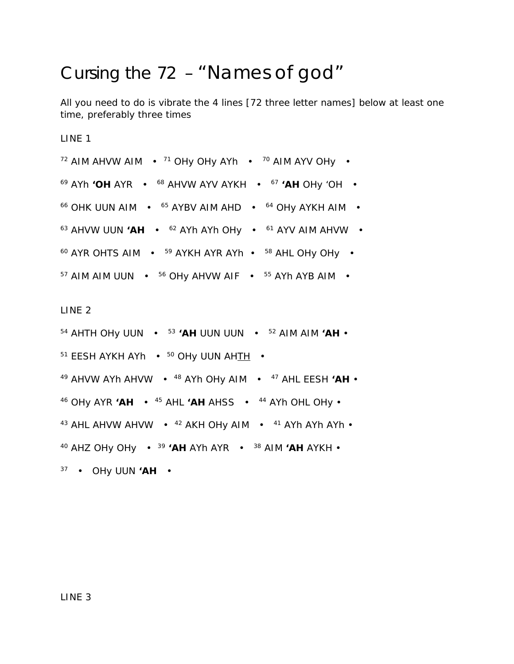#### Cursing the 72 – "Names of god"

All you need to do is vibrate the 4 lines [72 three letter names] below at least one time, preferably three times

LINE 1

<sup>72</sup> AIM AHVW AIM • <sup>71</sup> OHy OHy AYh • <sup>70</sup> AIM AYV OHy • AYh **'OH** AYR • 68 AHVW AYV AYKH • 67 **'AH** OHy 'OH • OHK UUN AIM • 65 AYBV AIM AHD • 64 OHy AYKH AIM • AHVW UUN **'AH** • 62 AYh AYh OHy • 61 AYV AIM AHVW • AYR OHTS AIM • 59 AYKH AYR AYh • 58 AHL OHy OHy • AIM AIM UUN •  $56$  OHy AHVW AIF •  $55$  AYh AYB AIM •

LINE 2

 AHTH OHy UUN • 53 **'AH** UUN UUN • 52 AIM AIM **'AH** • <sup>51</sup> EESH AYKH AYh • <sup>50</sup> OHy UUN AHTH • AHVW AYh AHVW • 48 AYh OHy AIM • 47 AHL EESH **'AH** • OHy AYR **'AH** • 45 AHL **'AH** AHSS • 44 AYh OHL OHy • AHL AHVW AHVW •  $42$  AKH OHy AIM •  $41$  AYh AYh AYh • AHZ OHy OHy • 39 **'AH** AYh AYR • 38 AIM **'AH** AYKH • • OHy UUN **'AH** •

LINE 3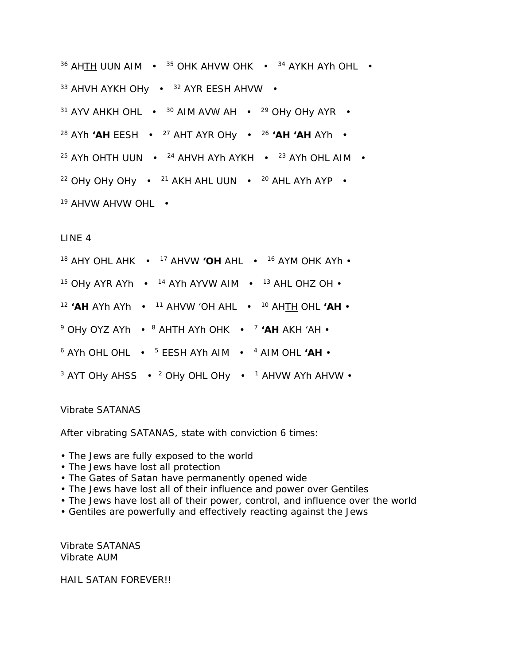$36$  AHTH UUN AIM •  $35$  OHK AHVW OHK •  $34$  AYKH AYh OHL • 33 AHVH AYKH OHy • <sup>32</sup> AYR EESH AHVW •  $31$  AYV AHKH OHL •  $30$  AIM AVW AH •  $29$  OHy OHy AYR • <sup>28</sup> AYh **'AH** EESH • 27 AHT AYR OHy • 26 **'AH 'AH** AYh • <sup>25</sup> AYh OHTH UUN • <sup>24</sup> AHVH AYh AYKH • <sup>23</sup> AYh OHL AIM • <sup>22</sup> OHy OHy OHy • <sup>21</sup> AKH AHL UUN • <sup>20</sup> AHL AYh AYP • <sup>19</sup> AHVW AHVW OHL •

#### LINE 4

| <sup>18</sup> AHY OHL AHK • <sup>17</sup> AHVW 'OH AHL • <sup>16</sup> AYM OHK AYh •  |
|---------------------------------------------------------------------------------------|
| <sup>15</sup> OHy AYR AYh • <sup>14</sup> AYh AYVW AIM • <sup>13</sup> AHL OHZ OH •   |
| <sup>12</sup> 'AH AYh AYh • <sup>11</sup> AHVW 'OH AHL • <sup>10</sup> AHTH OHL 'AH • |
| $9$ OHy OYZ AYh • $8$ AHTH AYh OHK • $7$ 'AH AKH 'AH •                                |
| $6$ AYh OHL OHL • $5$ EESH AYh AIM • $4$ AIM OHL 'AH •                                |
| <sup>3</sup> AYT OHy AHSS • <sup>2</sup> OHy OHL OHy • <sup>1</sup> AHVW AYh AHVW •   |

Vibrate SATANAS

After vibrating SATANAS, state with conviction 6 times:

- The Jews are fully exposed to the world
- The Jews have lost all protection
- The Gates of Satan have permanently opened wide
- The Jews have lost all of their influence and power over Gentiles
- The Jews have lost all of their power, control, and influence over the world
- Gentiles are powerfully and effectively reacting against the Jews

Vibrate SATANAS Vibrate AUM

HAIL SATAN FOREVER!!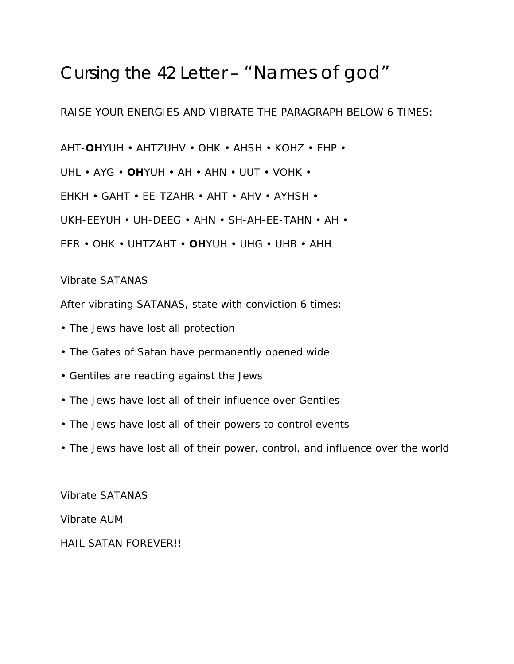#### Cursing the 42 Letter – "Names of god"

#### RAISE YOUR ENERGIES AND VIBRATE THE PARAGRAPH BELOW 6 TIMES:

AHT-**OH**YUH • AHTZUHV • OHK • AHSH • KOHZ • EHP •

UHL • AYG • **OH**YUH • AH • AHN • UUT • VOHK •

EHKH • GAHT • EE-TZAHR • AHT • AHV • AYHSH •

UKH-EEYUH • UH-DEEG • AHN • SH-AH-EE-TAHN • AH •

EER • OHK • UHTZAHT • **OH**YUH • UHG • UHB • AHH

#### Vibrate SATANAS

After vibrating SATANAS, state with conviction 6 times:

- The Jews have lost all protection
- The Gates of Satan have permanently opened wide
- Gentiles are reacting against the Jews
- The Jews have lost all of their influence over Gentiles
- The Jews have lost all of their powers to control events
- The Jews have lost all of their power, control, and influence over the world

Vibrate SATANAS

Vibrate AUM

HAIL SATAN FOREVER!!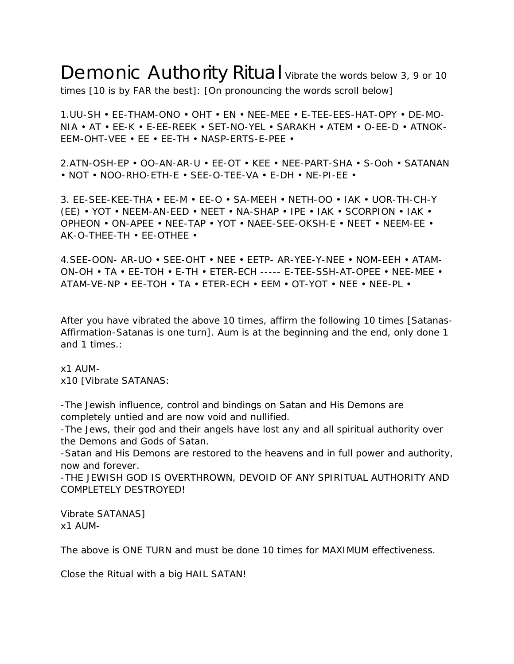#### Demonic Authority Ritual vibrate the words below 3, 9 or 10 times [10 is by FAR the best]: [On pronouncing the words scroll below]

1.UU-SH • EE-THAM-ONO • OHT • EN • NEE-MEE • E-TEE-EES-HAT-OPY • DE-MO-NIA • AT • EE-K • E-EE-REEK • SET-NO-YEL • SARAKH • ATEM • O-EE-D • ATNOK-EEM-OHT-VEE • EE • EE-TH • NASP-ERTS-E-PEE •

2.ATN-OSH-EP • OO-AN-AR-U • EE-OT • KEE • NEE-PART-SHA • S-Ooh • SATANAN • NOT • NOO-RHO-ETH-E • SEE-O-TEE-VA • E-DH • NE-PI-EE •

3. EE-SEE-KEE-THA • EE-M • EE-O • SA-MEEH • NETH-OO • IAK • UOR-TH-CH-Y (EE) • YOT • NEEM-AN-EED • NEET • NA-SHAP • IPE • IAK • SCORPION • IAK • OPHEON • ON-APEE • NEE-TAP • YOT • NAEE-SEE-OKSH-E • NEET • NEEM-EE • AK-O-THEE-TH • EE-OTHEE •

4.SEE-OON- AR-UO • SEE-OHT • NEE • EETP- AR-YEE-Y-NEE • NOM-EEH • ATAM-ON-OH • TA • EE-TOH • E-TH • ETER-ECH ----- E-TEE-SSH-AT-OPEE • NEE-MEE • ATAM-VE-NP • EE-TOH • TA • ETER-ECH • EEM • OT-YOT • NEE • NEE-PL •

After you have vibrated the above 10 times, affirm the following 10 times [Satanas-Affirmation-Satanas is one turn]. Aum is at the beginning and the end, only done 1 and 1 times.:

x1 AUMx10 [Vibrate SATANAS:

-The Jewish influence, control and bindings on Satan and His Demons are completely untied and are now void and nullified.

-The Jews, their god and their angels have lost any and all spiritual authority over the Demons and Gods of Satan.

-Satan and His Demons are restored to the heavens and in full power and authority, now and forever.

-THE JEWISH GOD IS OVERTHROWN, DEVOID OF ANY SPIRITUAL AUTHORITY AND COMPLETELY DESTROYED!

Vibrate SATANAS] x1 AUM-

The above is ONE TURN and must be done 10 times for MAXIMUM effectiveness.

Close the Ritual with a big HAIL SATAN!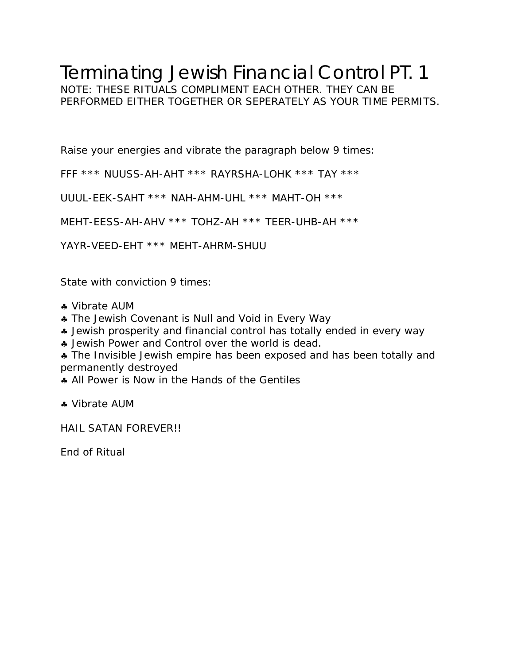#### Terminating Jewish Financial Control PT. 1 NOTE: THESE RITUALS COMPLIMENT EACH OTHER. THEY CAN BE PERFORMED EITHER TOGETHER OR SEPERATELY AS YOUR TIME PERMITS.

Raise your energies and vibrate the paragraph below 9 times:

FFF \*\*\* NUUSS-AH-AHT \*\*\* RAYRSHA-LOHK \*\*\* TAY \*\*\*

UUUL-EEK-SAHT \*\*\* NAH-AHM-UHL \*\*\* MAHT-OH \*\*\*

MEHT-EESS-AH-AHV \*\*\* TOHZ-AH \*\*\* TEER-UHB-AH \*\*\*

YAYR-VEED-EHT \*\*\* MEHT-AHRM-SHUU

State with conviction 9 times:

- ♣ Vibrate AUM
- ♣ The Jewish Covenant is Null and Void in Every Way
- ♣ Jewish prosperity and financial control has totally ended in every way
- ♣ Jewish Power and Control over the world is dead.

♣ The Invisible Jewish empire has been exposed and has been totally and permanently destroyed

♣ All Power is Now in the Hands of the Gentiles

♣ Vibrate AUM

HAIL SATAN FOREVER!!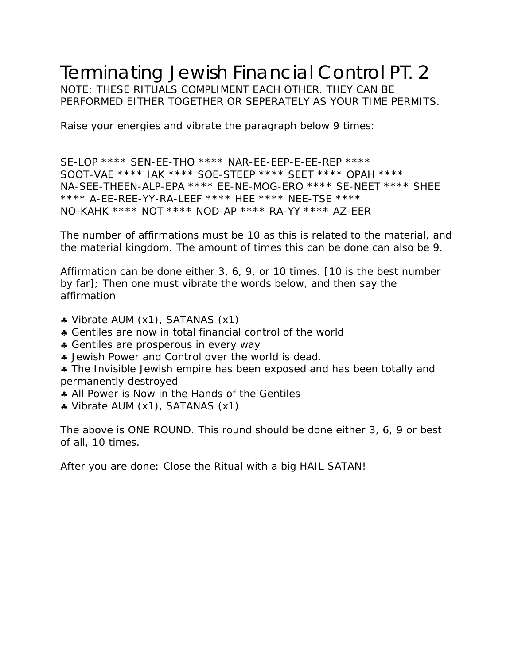#### Terminating Jewish Financial Control PT. 2

NOTE: THESE RITUALS COMPLIMENT EACH OTHER. THEY CAN BE PERFORMED EITHER TOGETHER OR SEPERATELY AS YOUR TIME PERMITS.

Raise your energies and vibrate the paragraph below 9 times:

SE-LOP \*\*\*\* SEN-EE-THO \*\*\*\* NAR-EE-EEP-E-EE-REP \*\*\*\* SOOT-VAE \*\*\*\* IAK \*\*\*\* SOE-STEEP \*\*\*\* SEET \*\*\*\* OPAH \*\*\*\* NA-SEE-THEEN-ALP-EPA \*\*\*\* EE-NE-MOG-ERO \*\*\*\* SE-NEET \*\*\*\* SHEE \*\*\*\* A-EE-REE-YY-RA-LEEF \*\*\*\* HEE \*\*\*\* NEE-TSE \*\*\*\* NO-KAHK \*\*\*\* NOT \*\*\*\* NOD-AP \*\*\*\* RA-YY \*\*\*\* AZ-EER

The number of affirmations must be 10 as this is related to the material, and the material kingdom. The amount of times this can be done can also be 9.

Affirmation can be done either 3, 6, 9, or 10 times. [10 is the best number by far]; Then one must vibrate the words below, and then say the affirmation

- ♣ Vibrate AUM (x1), SATANAS (x1)
- ♣ Gentiles are now in total financial control of the world
- ♣ Gentiles are prosperous in every way
- ♣ Jewish Power and Control over the world is dead.

♣ The Invisible Jewish empire has been exposed and has been totally and permanently destroyed

- ♣ All Power is Now in the Hands of the Gentiles
- ♣ Vibrate AUM (x1), SATANAS (x1)

The above is ONE ROUND. This round should be done either 3, 6, 9 or best of all, 10 times.

After you are done: Close the Ritual with a big HAIL SATAN!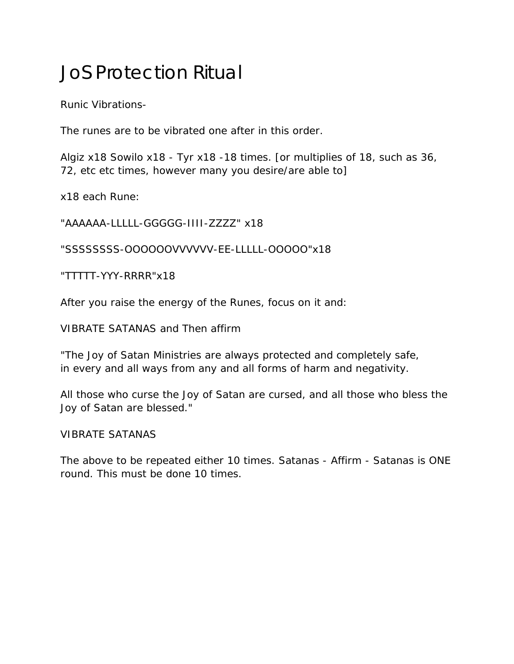## JoS Protection Ritual

Runic Vibrations-

The runes are to be vibrated one after in this order.

Algiz x18 Sowilo x18 - Tyr x18 -18 times. [or multiplies of 18, such as 36, 72, etc etc times, however many you desire/are able to]

x18 each Rune:

"AAAAAA-LLLLL-GGGGG-IIII-ZZZZ" x18

"SSSSSSSS-OOOOOOVVVVVV-EE-LLLLL-OOOOO"x18

"TTTTT-YYY-RRRR"x18

After you raise the energy of the Runes, focus on it and:

VIBRATE SATANAS and Then affirm

"The Joy of Satan Ministries are always protected and completely safe, in every and all ways from any and all forms of harm and negativity.

All those who curse the Joy of Satan are cursed, and all those who bless the Joy of Satan are blessed."

VIBRATE SATANAS

The above to be repeated either 10 times. Satanas - Affirm - Satanas is ONE round. This must be done 10 times.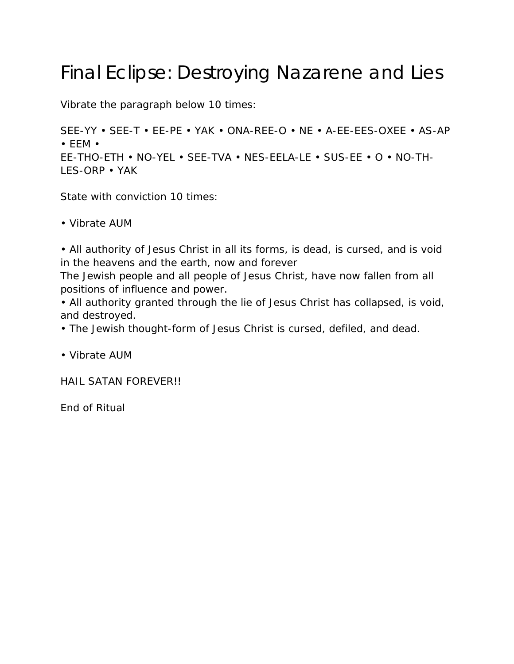## Final Eclipse: Destroying Nazarene and Lies

Vibrate the paragraph below 10 times:

```
SEE-YY • SEE-T • EE-PE • YAK • ONA-REE-O • NE • A-EE-EES-OXEE • AS-AP 
• EEM • 
EE-THO-ETH • NO-YEL • SEE-TVA • NES-EELA-LE • SUS-EE • O • NO-TH-
LES-ORP • YAK
```
State with conviction 10 times:

• Vibrate AUM

• All authority of Jesus Christ in all its forms, is dead, is cursed, and is void in the heavens and the earth, now and forever

The Jewish people and all people of Jesus Christ, have now fallen from all positions of influence and power.

• All authority granted through the lie of Jesus Christ has collapsed, is void, and destroyed.

• The Jewish thought-form of Jesus Christ is cursed, defiled, and dead.

```
• Vibrate AUM
```
HAIL SATAN FOREVER!!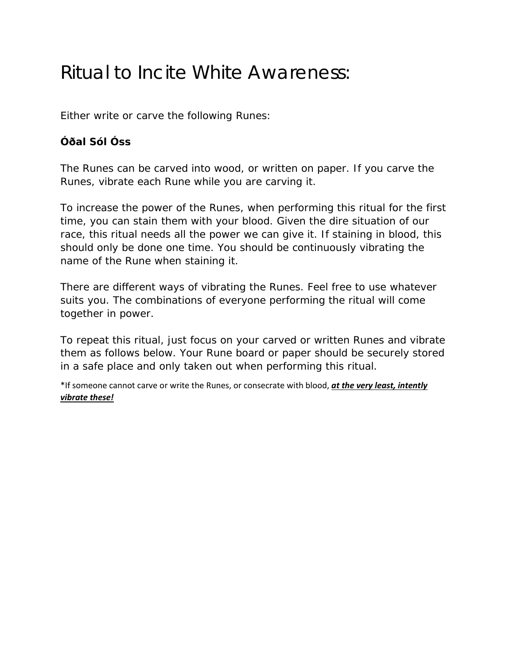### Ritual to Incite White Awareness:

Either write or carve the following Runes:

#### **Óðal Sól Óss**

The Runes can be carved into wood, or written on paper. If you carve the Runes, vibrate each Rune while you are carving it.

To increase the power of the Runes, when performing this ritual for the first time, you can stain them with your blood. Given the dire situation of our race, this ritual needs all the power we can give it. If staining in blood, this should only be done one time. You should be continuously vibrating the name of the Rune when staining it.

There are different ways of vibrating the Runes. Feel free to use whatever suits you. The combinations of everyone performing the ritual will come together in power.

To repeat this ritual, just focus on your carved or written Runes and vibrate them as follows below. Your Rune board or paper should be securely stored in a safe place and only taken out when performing this ritual.

\*If someone cannot carve or write the Runes, or consecrate with blood, *at the very least, intently vibrate these!*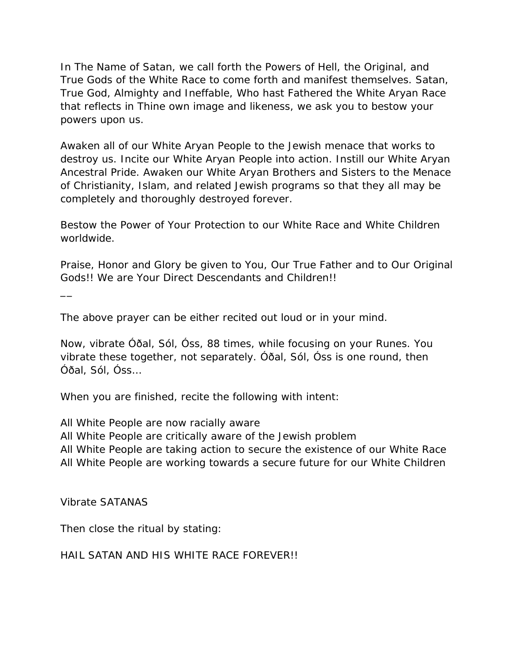In The Name of Satan, we call forth the Powers of Hell, the Original, and *True Gods of the White Race to come forth and manifest themselves. Satan, True God, Almighty and Ineffable, Who hast Fathered the White Aryan Race that reflects in Thine own image and likeness, we ask you to bestow your powers upon us.*

*Awaken all of our White Aryan People to the Jewish menace that works to destroy us. Incite our White Aryan People into action. Instill our White Aryan Ancestral Pride. Awaken our White Aryan Brothers and Sisters to the Menace of Christianity, Islam, and related Jewish programs so that they all may be completely and thoroughly destroyed forever.*

*Bestow the Power of Your Protection to our White Race and White Children worldwide.*

*Praise, Honor and Glory be given to You, Our True Father and to Our Original Gods!! We are Your Direct Descendants and Children!!*

*\_\_*

The above prayer can be either recited out loud or in your mind.

Now, vibrate Óðal, Sól, Óss, 88 times, while focusing on your Runes. You vibrate these together, not separately. Óðal, Sól, Óss is one round, then Óðal, Sól, Óss…

When you are finished, recite the following with intent:

All White People are now racially aware

All White People are critically aware of the Jewish problem

All White People are taking action to secure the existence of our White Race All White People are working towards a secure future for our White Children

Vibrate SATANAS

Then close the ritual by stating:

HAIL SATAN AND HIS WHITE RACE FOREVER!!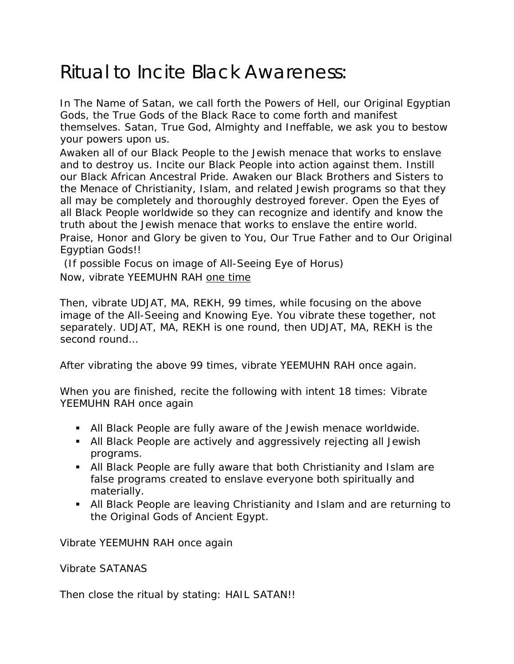### Ritual to Incite Black Awareness:

In The Name of Satan, we call forth the Powers of Hell, our Original Egyptian *Gods, the True Gods of the Black Race to come forth and manifest themselves. Satan, True God, Almighty and Ineffable, we ask you to bestow your powers upon us.* 

*Awaken all of our Black People to the Jewish menace that works to enslave and to destroy us. Incite our Black People into action against them. Instill our Black African Ancestral Pride. Awaken our Black Brothers and Sisters to the Menace of Christianity, Islam, and related Jewish programs so that they all may be completely and thoroughly destroyed forever. Open the Eyes of all Black People worldwide so they can recognize and identify and know the truth about the Jewish menace that works to enslave the entire world. Praise, Honor and Glory be given to You, Our True Father and to Our Original Egyptian Gods!!* 

(If possible Focus on image of All-Seeing Eye of Horus) Now, vibrate YEEMUHN RAH one time

Then, vibrate UDJAT, MA, REKH, 99 times, while focusing on the above image of the All-Seeing and Knowing Eye. You vibrate these together, not separately. UDJAT, MA, REKH is one round, then UDJAT, MA, REKH is the second round…

After vibrating the above 99 times, vibrate YEEMUHN RAH once again.

When you are finished, recite the following with intent 18 times: Vibrate YEEMUHN RAH once again

- All Black People are fully aware of the Jewish menace worldwide.
- All Black People are actively and aggressively rejecting all Jewish programs.
- All Black People are fully aware that both Christianity and Islam are false programs created to enslave everyone both spiritually and materially.
- All Black People are leaving Christianity and Islam and are returning to the Original Gods of Ancient Egypt.

Vibrate YEEMUHN RAH once again

Vibrate SATANAS

Then close the ritual by stating: HAIL SATAN!!